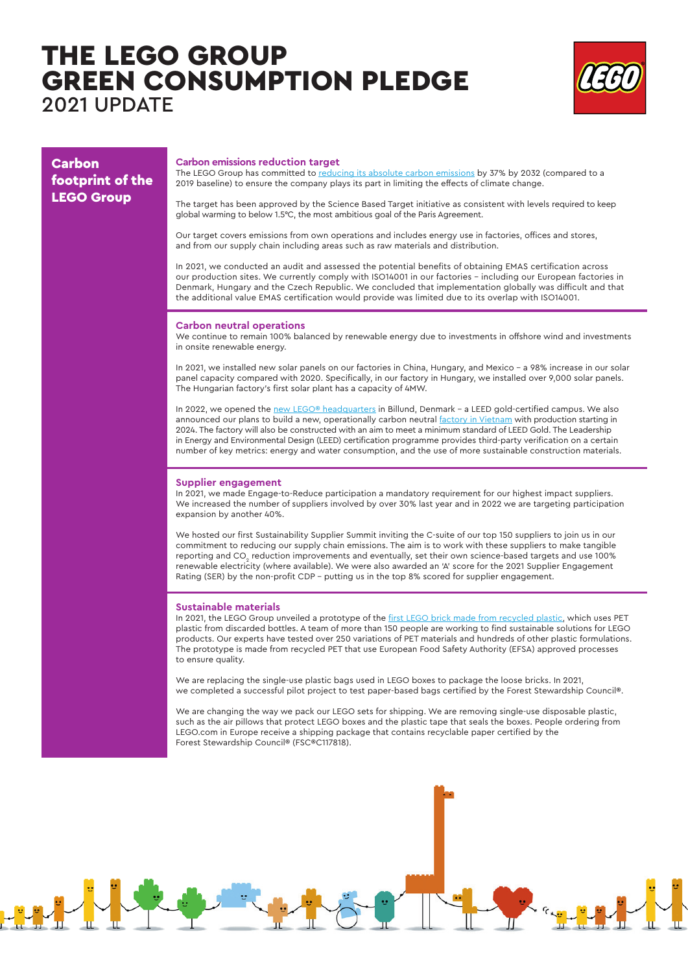# THE LEGO GROUP GREEN CONSUMPTION PLEDGE 2021 UPDATE

 $\psi$